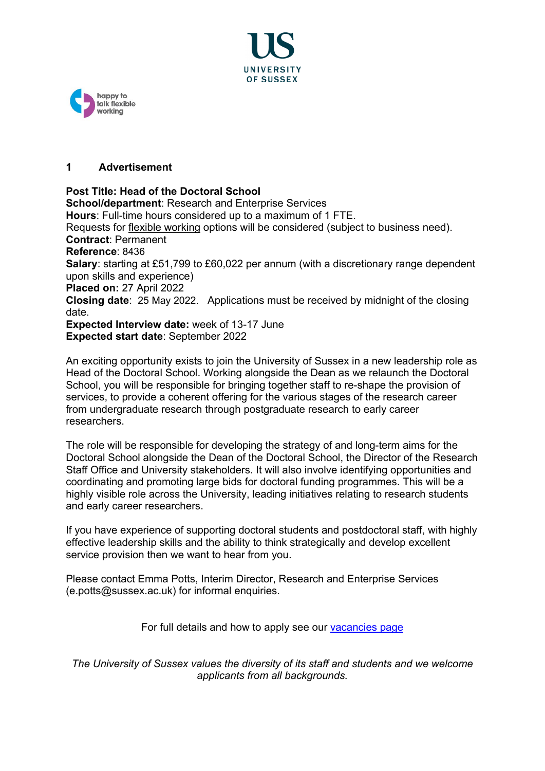



# **1 Advertisement**

**Post Title: Head of the Doctoral School School/department**: Research and Enterprise Services **Hours**: Full-time hours considered up to a maximum of 1 FTE. Requests for [flexible working](http://www.sussex.ac.uk/humanresources/personnel/flexible-working) options will be considered (subject to business need). **Contract**: Permanent **Reference**: 8436 **Salary**: starting at £51,799 to £60,022 per annum (with a discretionary range dependent upon skills and experience) **Placed on:** 27 April 2022 **Closing date**: 25 May 2022. Applications must be received by midnight of the closing date. **Expected Interview date:** week of 13-17 June **Expected start date**: September 2022

An exciting opportunity exists to join the University of Sussex in a new leadership role as Head of the Doctoral School. Working alongside the Dean as we relaunch the Doctoral School, you will be responsible for bringing together staff to re-shape the provision of services, to provide a coherent offering for the various stages of the research career from undergraduate research through postgraduate research to early career researchers.

The role will be responsible for developing the strategy of and long-term aims for the Doctoral School alongside the Dean of the Doctoral School, the Director of the Research Staff Office and University stakeholders. It will also involve identifying opportunities and coordinating and promoting large bids for doctoral funding programmes. This will be a highly visible role across the University, leading initiatives relating to research students and early career researchers.

If you have experience of supporting doctoral students and postdoctoral staff, with highly effective leadership skills and the ability to think strategically and develop excellent service provision then we want to hear from you.

Please contact Emma Potts, Interim Director, Research and Enterprise Services (e.potts@sussex.ac.uk) for informal enquiries.

For full details and how to apply see our [vacancies page](http://www.sussex.ac.uk/about/jobs)

*The University of Sussex values the diversity of its staff and students and we welcome applicants from all backgrounds.*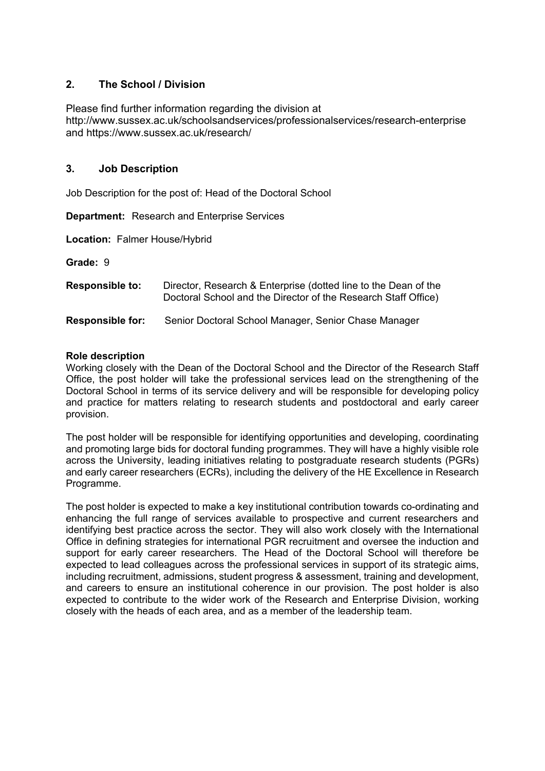# **2. The School / Division**

Please find further information regarding the division at http://www.sussex.ac.uk/schoolsandservices/professionalservices/research-enterprise and https://www.sussex.ac.uk/research/

## **3. Job Description**

Job Description for the post of: Head of the Doctoral School

**Department:** Research and Enterprise Services

**Location:** Falmer House/Hybrid

**Grade:** 9

| <b>Responsible to:</b>  | Director, Research & Enterprise (dotted line to the Dean of the<br>Doctoral School and the Director of the Research Staff Office) |
|-------------------------|-----------------------------------------------------------------------------------------------------------------------------------|
| <b>Responsible for:</b> | Senior Doctoral School Manager, Senior Chase Manager                                                                              |

#### **Role description**

Working closely with the Dean of the Doctoral School and the Director of the Research Staff Office, the post holder will take the professional services lead on the strengthening of the Doctoral School in terms of its service delivery and will be responsible for developing policy and practice for matters relating to research students and postdoctoral and early career provision.

The post holder will be responsible for identifying opportunities and developing, coordinating and promoting large bids for doctoral funding programmes. They will have a highly visible role across the University, leading initiatives relating to postgraduate research students (PGRs) and early career researchers (ECRs), including the delivery of the HE Excellence in Research Programme.

The post holder is expected to make a key institutional contribution towards co-ordinating and enhancing the full range of services available to prospective and current researchers and identifying best practice across the sector. They will also work closely with the International Office in defining strategies for international PGR recruitment and oversee the induction and support for early career researchers. The Head of the Doctoral School will therefore be expected to lead colleagues across the professional services in support of its strategic aims, including recruitment, admissions, student progress & assessment, training and development, and careers to ensure an institutional coherence in our provision. The post holder is also expected to contribute to the wider work of the Research and Enterprise Division, working closely with the heads of each area, and as a member of the leadership team.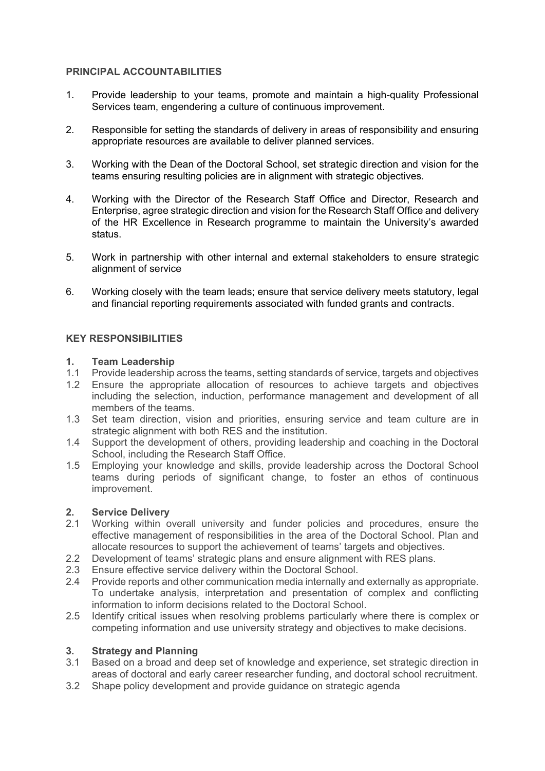## **PRINCIPAL ACCOUNTABILITIES**

- 1. Provide leadership to your teams, promote and maintain a high-quality Professional Services team, engendering a culture of continuous improvement.
- 2. Responsible for setting the standards of delivery in areas of responsibility and ensuring appropriate resources are available to deliver planned services.
- 3. Working with the Dean of the Doctoral School, set strategic direction and vision for the teams ensuring resulting policies are in alignment with strategic objectives.
- 4. Working with the Director of the Research Staff Office and Director, Research and Enterprise, agree strategic direction and vision for the Research Staff Office and delivery of the HR Excellence in Research programme to maintain the University's awarded status.
- 5. Work in partnership with other internal and external stakeholders to ensure strategic alignment of service
- 6. Working closely with the team leads; ensure that service delivery meets statutory, legal and financial reporting requirements associated with funded grants and contracts.

# **KEY RESPONSIBILITIES**

#### **1. Team Leadership**

- 1.1 Provide leadership across the teams, setting standards of service, targets and objectives
- 1.2 Ensure the appropriate allocation of resources to achieve targets and objectives including the selection, induction, performance management and development of all members of the teams.
- 1.3 Set team direction, vision and priorities, ensuring service and team culture are in strategic alignment with both RES and the institution.
- 1.4 Support the development of others, providing leadership and coaching in the Doctoral School, including the Research Staff Office.
- 1.5 Employing your knowledge and skills, provide leadership across the Doctoral School teams during periods of significant change, to foster an ethos of continuous improvement.

## **2. Service Delivery**

- 2.1 Working within overall university and funder policies and procedures, ensure the effective management of responsibilities in the area of the Doctoral School. Plan and allocate resources to support the achievement of teams' targets and objectives.
- 2.2 Development of teams' strategic plans and ensure alignment with RES plans.
- 2.3 Ensure effective service delivery within the Doctoral School.<br>2.4 Provide reports and other communication media internally and
- 2.4 Provide reports and other communication media internally and externally as appropriate. To undertake analysis, interpretation and presentation of complex and conflicting information to inform decisions related to the Doctoral School.
- 2.5 Identify critical issues when resolving problems particularly where there is complex or competing information and use university strategy and objectives to make decisions.

# **3. Strategy and Planning**

- Based on a broad and deep set of knowledge and experience, set strategic direction in areas of doctoral and early career researcher funding, and doctoral school recruitment.
- 3.2 Shape policy development and provide guidance on strategic agenda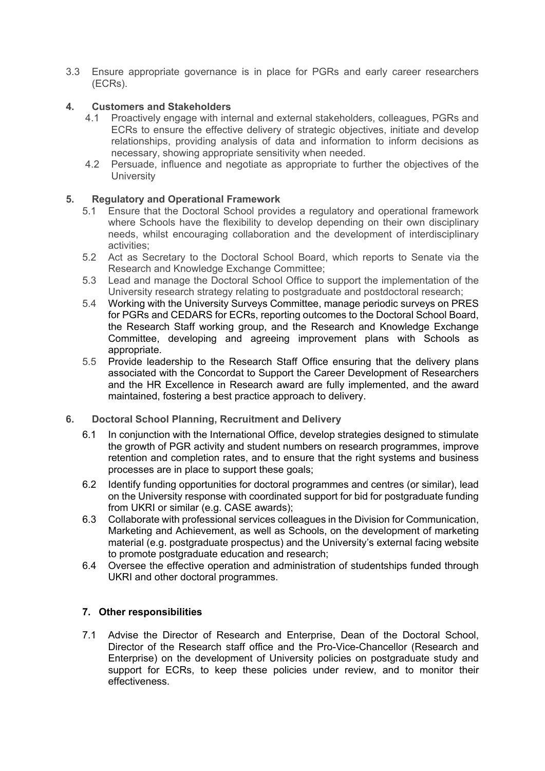3.3 Ensure appropriate governance is in place for PGRs and early career researchers (ECRs).

# **4. Customers and Stakeholders**

- 4.1 Proactively engage with internal and external stakeholders, colleagues, PGRs and ECRs to ensure the effective delivery of strategic objectives, initiate and develop relationships, providing analysis of data and information to inform decisions as necessary, showing appropriate sensitivity when needed.
- 4.2 Persuade, influence and negotiate as appropriate to further the objectives of the **University**

## **5. Regulatory and Operational Framework**

- 5.1 Ensure that the Doctoral School provides a regulatory and operational framework where Schools have the flexibility to develop depending on their own disciplinary needs, whilst encouraging collaboration and the development of interdisciplinary activities;
- 5.2 Act as Secretary to the Doctoral School Board, which reports to Senate via the Research and Knowledge Exchange Committee;
- 5.3 Lead and manage the Doctoral School Office to support the implementation of the University research strategy relating to postgraduate and postdoctoral research;
- 5.4 Working with the University Surveys Committee, manage periodic surveys on PRES for PGRs and CEDARS for ECRs, reporting outcomes to the Doctoral School Board, the Research Staff working group, and the Research and Knowledge Exchange Committee, developing and agreeing improvement plans with Schools as appropriate.
- 5.5 Provide leadership to the Research Staff Office ensuring that the delivery plans associated with the Concordat to Support the Career Development of Researchers and the HR Excellence in Research award are fully implemented, and the award maintained, fostering a best practice approach to delivery.
- **6. Doctoral School Planning, Recruitment and Delivery**
	- 6.1 In conjunction with the International Office, develop strategies designed to stimulate the growth of PGR activity and student numbers on research programmes, improve retention and completion rates, and to ensure that the right systems and business processes are in place to support these goals;
	- 6.2 Identify funding opportunities for doctoral programmes and centres (or similar), lead on the University response with coordinated support for bid for postgraduate funding from UKRI or similar (e.g. CASE awards);
	- 6.3 Collaborate with professional services colleagues in the Division for Communication, Marketing and Achievement, as well as Schools, on the development of marketing material (e.g. postgraduate prospectus) and the University's external facing website to promote postgraduate education and research;
	- 6.4 Oversee the effective operation and administration of studentships funded through UKRI and other doctoral programmes.

## **7. Other responsibilities**

7.1 Advise the Director of Research and Enterprise, Dean of the Doctoral School, Director of the Research staff office and the Pro-Vice-Chancellor (Research and Enterprise) on the development of University policies on postgraduate study and support for ECRs, to keep these policies under review, and to monitor their effectiveness.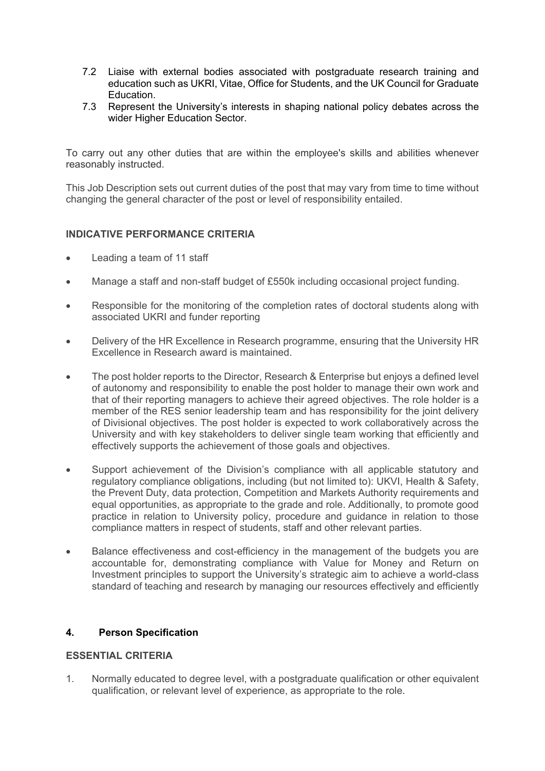- 7.2 Liaise with external bodies associated with postgraduate research training and education such as UKRI, Vitae, Office for Students, and the UK Council for Graduate Education.
- 7.3 Represent the University's interests in shaping national policy debates across the wider Higher Education Sector.

To carry out any other duties that are within the employee's skills and abilities whenever reasonably instructed.

This Job Description sets out current duties of the post that may vary from time to time without changing the general character of the post or level of responsibility entailed.

# **INDICATIVE PERFORMANCE CRITERIA**

- Leading a team of 11 staff
- Manage a staff and non-staff budget of £550k including occasional project funding.
- Responsible for the monitoring of the completion rates of doctoral students along with associated UKRI and funder reporting
- Delivery of the HR Excellence in Research programme, ensuring that the University HR Excellence in Research award is maintained.
- The post holder reports to the Director, Research & Enterprise but enjoys a defined level of autonomy and responsibility to enable the post holder to manage their own work and that of their reporting managers to achieve their agreed objectives. The role holder is a member of the RES senior leadership team and has responsibility for the joint delivery of Divisional objectives. The post holder is expected to work collaboratively across the University and with key stakeholders to deliver single team working that efficiently and effectively supports the achievement of those goals and objectives.
- Support achievement of the Division's compliance with all applicable statutory and regulatory compliance obligations, including (but not limited to): UKVI, Health & Safety, the Prevent Duty, data protection, Competition and Markets Authority requirements and equal opportunities, as appropriate to the grade and role. Additionally, to promote good practice in relation to University policy, procedure and guidance in relation to those compliance matters in respect of students, staff and other relevant parties.
- Balance effectiveness and cost-efficiency in the management of the budgets you are accountable for, demonstrating compliance with Value for Money and Return on Investment principles to support the University's strategic aim to achieve a world-class standard of teaching and research by managing our resources effectively and efficiently

## **4. Person Specification**

## **ESSENTIAL CRITERIA**

1. Normally educated to degree level, with a postgraduate qualification or other equivalent qualification, or relevant level of experience, as appropriate to the role.